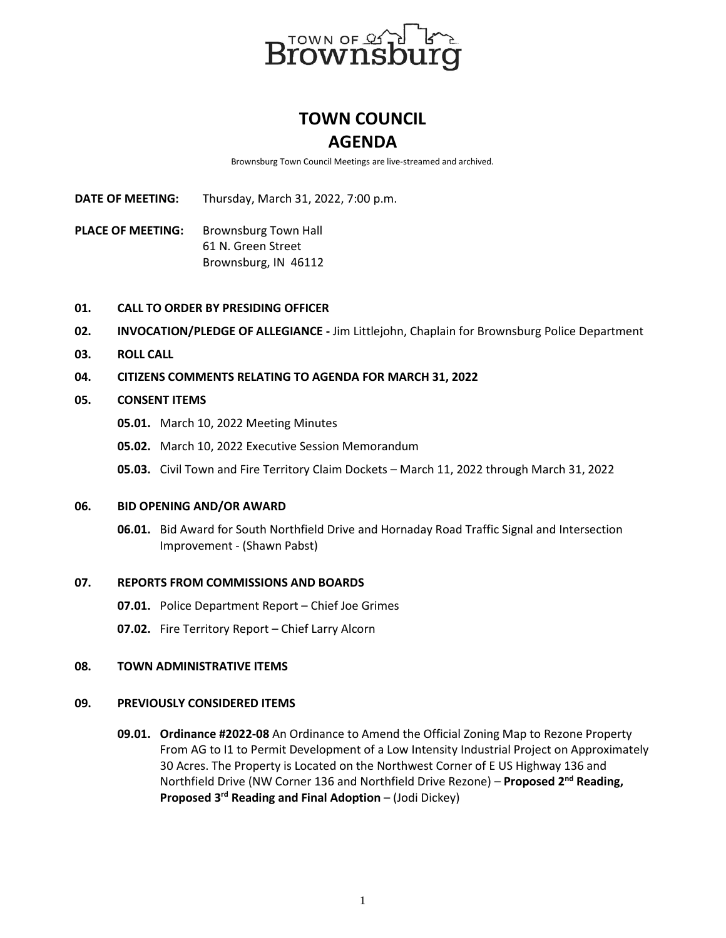

# **TOWN COUNCIL AGENDA**

Brownsburg Town Council Meetings are live-streamed and archived.

**DATE OF MEETING:** Thursday, March 31, 2022, 7:00 p.m.

**PLACE OF MEETING:** Brownsburg Town Hall 61 N. Green Street Brownsburg, IN 46112

# **01. CALL TO ORDER BY PRESIDING OFFICER**

- **02. INVOCATION/PLEDGE OF ALLEGIANCE -** Jim Littlejohn, Chaplain for Brownsburg Police Department
- **03. ROLL CALL**
- **04. CITIZENS COMMENTS RELATING TO AGENDA FOR MARCH 31, 2022**

# **05. CONSENT ITEMS**

- **05.01.** March 10, 2022 Meeting Minutes
- **05.02.** March 10, 2022 Executive Session Memorandum
- **05.03.** Civil Town and Fire Territory Claim Dockets March 11, 2022 through March 31, 2022

## **06. BID OPENING AND/OR AWARD**

**06.01.** Bid Award for South Northfield Drive and Hornaday Road Traffic Signal and Intersection Improvement - (Shawn Pabst)

## **07. REPORTS FROM COMMISSIONS AND BOARDS**

- **07.01.** Police Department Report Chief Joe Grimes
- **07.02.** Fire Territory Report Chief Larry Alcorn

## **08. TOWN ADMINISTRATIVE ITEMS**

## **09. PREVIOUSLY CONSIDERED ITEMS**

**09.01. Ordinance #2022-08** An Ordinance to Amend the Official Zoning Map to Rezone Property From AG to I1 to Permit Development of a Low Intensity Industrial Project on Approximately 30 Acres. The Property is Located on the Northwest Corner of E US Highway 136 and Northfield Drive (NW Corner 136 and Northfield Drive Rezone) – **Proposed 2nd Reading, Proposed 3rd Reading and Final Adoption** – (Jodi Dickey)